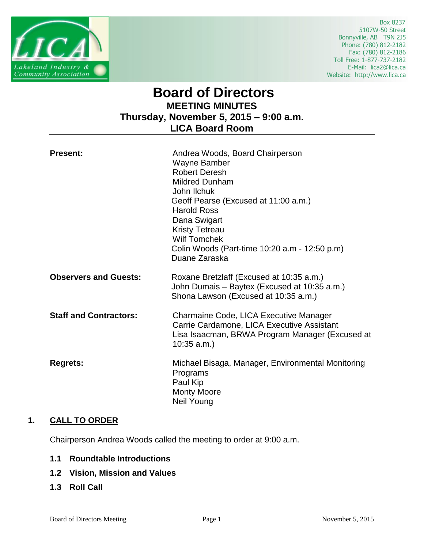

 Box 8237 5107W-50 Street Bonnyville, AB T9N 2J5 Phone: (780) 812-2182 Fax: (780) 812-2186 Toll Free: 1-877-737-2182 E-Mail: lica2@lica.ca Website: http://www.lica.ca

# **Board of Directors MEETING MINUTES Thursday, November 5, 2015 – 9:00 a.m. LICA Board Room**

| <b>Present:</b>               | Andrea Woods, Board Chairperson<br>Wayne Bamber<br><b>Robert Deresh</b><br><b>Mildred Dunham</b><br>John Ilchuk<br>Geoff Pearse (Excused at 11:00 a.m.)<br><b>Harold Ross</b><br>Dana Swigart<br><b>Kristy Tetreau</b><br><b>Wilf Tomchek</b><br>Colin Woods (Part-time 10:20 a.m - 12:50 p.m)<br>Duane Zaraska |
|-------------------------------|-----------------------------------------------------------------------------------------------------------------------------------------------------------------------------------------------------------------------------------------------------------------------------------------------------------------|
| <b>Observers and Guests:</b>  | Roxane Bretzlaff (Excused at 10:35 a.m.)<br>John Dumais - Baytex (Excused at 10:35 a.m.)<br>Shona Lawson (Excused at 10:35 a.m.)                                                                                                                                                                                |
| <b>Staff and Contractors:</b> | Charmaine Code, LICA Executive Manager<br>Carrie Cardamone, LICA Executive Assistant<br>Lisa Isaacman, BRWA Program Manager (Excused at<br>$10:35$ a.m.)                                                                                                                                                        |
| <b>Regrets:</b>               | Michael Bisaga, Manager, Environmental Monitoring<br>Programs<br>Paul Kip<br><b>Monty Moore</b><br>Neil Young                                                                                                                                                                                                   |

# **1. CALL TO ORDER**

Chairperson Andrea Woods called the meeting to order at 9:00 a.m.

- **1.1 Roundtable Introductions**
- **1.2 Vision, Mission and Values**
- **1.3 Roll Call**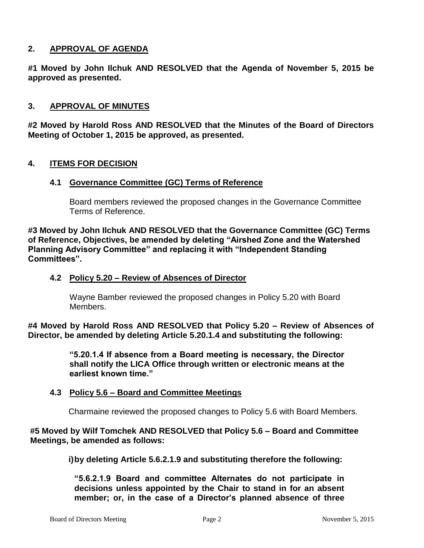# **2. APPROVAL OF AGENDA**

**#1 Moved by John Ilchuk AND RESOLVED that the Agenda of November 5, 2015 be approved as presented.**

#### **3. APPROVAL OF MINUTES**

**#2 Moved by Harold Ross AND RESOLVED that the Minutes of the Board of Directors Meeting of October 1, 2015 be approved, as presented.**

## **4. ITEMS FOR DECISION**

#### **4.1 Governance Committee (GC) Terms of Reference**

Board members reviewed the proposed changes in the Governance Committee Terms of Reference.

**#3 Moved by John Ilchuk AND RESOLVED that the Governance Committee (GC) Terms of Reference, Objectives, be amended by deleting "Airshed Zone and the Watershed Planning Advisory Committee" and replacing it with "Independent Standing Committees".**

#### **4.2 Policy 5.20 – Review of Absences of Director**

Wayne Bamber reviewed the proposed changes in Policy 5.20 with Board Members.

**#4 Moved by Harold Ross AND RESOLVED that Policy 5.20 – Review of Absences of Director, be amended by deleting Article 5.20.1.4 and substituting the following:**

> **"5.20.1.4 If absence from a Board meeting is necessary, the Director shall notify the LICA Office through written or electronic means at the earliest known time."**

#### **4.3 Policy 5.6 – Board and Committee Meetings**

Charmaine reviewed the proposed changes to Policy 5.6 with Board Members.

#### **#5 Moved by Wilf Tomchek AND RESOLVED that Policy 5.6 – Board and Committee Meetings, be amended as follows:**

**i)by deleting Article 5.6.2.1.9 and substituting therefore the following:**

**"5.6.2.1.9 Board and committee Alternates do not participate in decisions unless appointed by the Chair to stand in for an absent member; or, in the case of a Director's planned absence of three**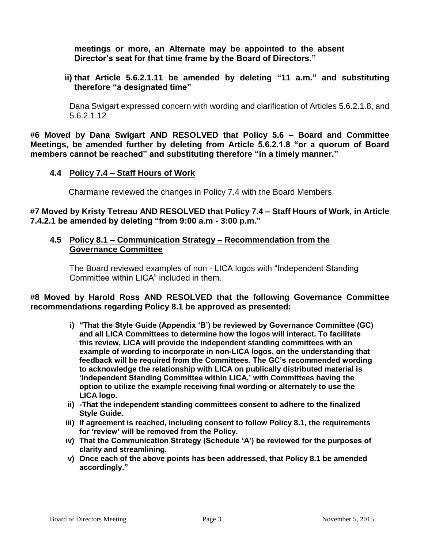**meetings or more, an Alternate may be appointed to the absent Director's seat for that time frame by the Board of Directors."**

**ii) that Article 5.6.2.1.11 be amended by deleting "11 a.m." and substituting therefore "a designated time"**

Dana Swigart expressed concern with wording and clarification of Articles 5.6.2.1.8, and 5.6.2.1.12

**#6 Moved by Dana Swigart AND RESOLVED that Policy 5.6 – Board and Committee Meetings, be amended further by deleting from Article 5.6.2.1.8 "or a quorum of Board members cannot be reached" and substituting therefore "in a timely manner."**

## **4.4 Policy 7.4 – Staff Hours of Work**

Charmaine reviewed the changes in Policy 7.4 with the Board Members.

#### **#7 Moved by Kristy Tetreau AND RESOLVED that Policy 7.4 – Staff Hours of Work, in Article 7.4.2.1 be amended by deleting "from 9:00 a.m - 3:00 p.m."**

#### **4.5 Policy 8.1 – Communication Strategy – Recommendation from the Governance Committee**

The Board reviewed examples of non - LICA logos with "Independent Standing Committee within LICA" included in them.

**#8 Moved by Harold Ross AND RESOLVED that the following Governance Committee recommendations regarding Policy 8.1 be approved as presented:**

- **i) "That the Style Guide (Appendix 'B') be reviewed by Governance Committee (GC) and all LICA Committees to determine how the logos will interact. To facilitate this review, LICA will provide the independent standing committees with an example of wording to incorporate in non-LICA logos, on the understanding that feedback will be required from the Committees. The GC's recommended wording to acknowledge the relationship with LICA on publically distributed material is 'Independent Standing Committee within LICA,' with Committees having the option to utilize the example receiving final wording or alternately to use the LICA logo.**
- **ii) -That the independent standing committees consent to adhere to the finalized Style Guide.**
- **iii) If agreement is reached, including consent to follow Policy 8.1, the requirements for 'review' will be removed from the Policy.**
- **iv) That the Communication Strategy (Schedule 'A') be reviewed for the purposes of clarity and streamlining.**
- **v) Once each of the above points has been addressed, that Policy 8.1 be amended accordingly."**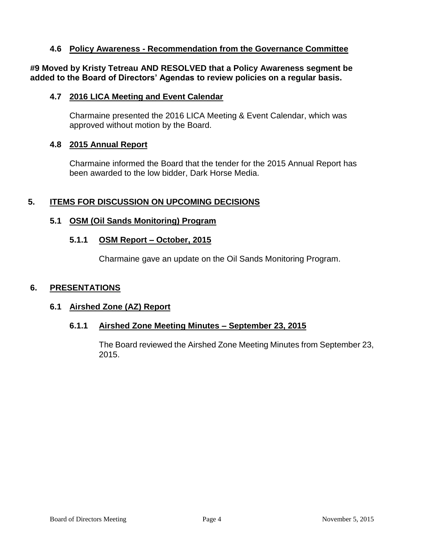## **4.6 Policy Awareness - Recommendation from the Governance Committee**

**#9 Moved by Kristy Tetreau AND RESOLVED that a Policy Awareness segment be added to the Board of Directors' Agendas to review policies on a regular basis.**

#### **4.7 2016 LICA Meeting and Event Calendar**

Charmaine presented the 2016 LICA Meeting & Event Calendar, which was approved without motion by the Board.

#### **4.8 2015 Annual Report**

Charmaine informed the Board that the tender for the 2015 Annual Report has been awarded to the low bidder, Dark Horse Media.

## **5. ITEMS FOR DISCUSSION ON UPCOMING DECISIONS**

## **5.1 OSM (Oil Sands Monitoring) Program**

#### **5.1.1 OSM Report – October, 2015**

Charmaine gave an update on the Oil Sands Monitoring Program.

#### **6. PRESENTATIONS**

#### **6.1 Airshed Zone (AZ) Report**

#### **6.1.1 Airshed Zone Meeting Minutes – September 23, 2015**

The Board reviewed the Airshed Zone Meeting Minutes from September 23, 2015.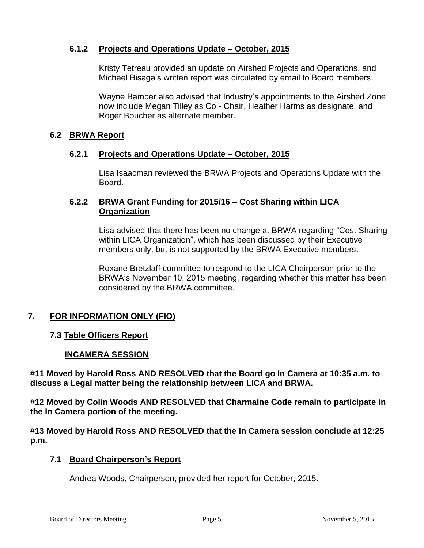# **6.1.2 Projects and Operations Update – October, 2015**

Kristy Tetreau provided an update on Airshed Projects and Operations, and Michael Bisaga's written report was circulated by email to Board members.

Wayne Bamber also advised that Industry's appointments to the Airshed Zone now include Megan Tilley as Co - Chair, Heather Harms as designate, and Roger Boucher as alternate member.

#### **6.2 BRWA Report**

#### **6.2.1 Projects and Operations Update – October, 2015**

Lisa Isaacman reviewed the BRWA Projects and Operations Update with the Board.

# **6.2.2 BRWA Grant Funding for 2015/16 – Cost Sharing within LICA Organization**

Lisa advised that there has been no change at BRWA regarding "Cost Sharing within LICA Organization", which has been discussed by their Executive members only, but is not supported by the BRWA Executive members.

Roxane Bretzlaff committed to respond to the LICA Chairperson prior to the BRWA's November 10, 2015 meeting, regarding whether this matter has been considered by the BRWA committee.

# **7. FOR INFORMATION ONLY (FIO)**

## **7.3 Table Officers Report**

#### **INCAMERA SESSION**

**#11 Moved by Harold Ross AND RESOLVED that the Board go In Camera at 10:35 a.m. to discuss a Legal matter being the relationship between LICA and BRWA.**

**#12 Moved by Colin Woods AND RESOLVED that Charmaine Code remain to participate in the In Camera portion of the meeting.** 

**#13 Moved by Harold Ross AND RESOLVED that the In Camera session conclude at 12:25 p.m.**

#### **7.1 Board Chairperson's Report**

Andrea Woods, Chairperson, provided her report for October, 2015.